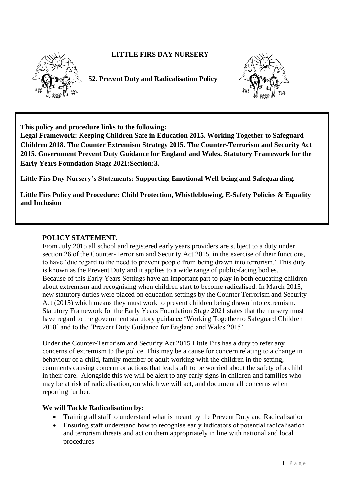

# **LITTLE FIRS DAY NURSERY**

**52. Prevent Duty and Radicalisation Policy**



**This policy and procedure links to the following:** 

**Legal Framework: Keeping Children Safe in Education 2015. Working Together to Safeguard Children 2018. The Counter Extremism Strategy 2015. The Counter-Terrorism and Security Act 2015. Government Prevent Duty Guidance for England and Wales. Statutory Framework for the Early Years Foundation Stage 2021:Section:3.** 

**Little Firs Day Nursery's Statements: Supporting Emotional Well-being and Safeguarding.**

**Little Firs Policy and Procedure: Child Protection, Whistleblowing, E-Safety Policies & Equality and Inclusion** 

#### **POLICY STATEMENT.**

From July 2015 all school and registered early years providers are subject to a duty under section 26 of the Counter-Terrorism and Security Act 2015, in the exercise of their functions, to have 'due regard to the need to prevent people from being drawn into terrorism.' This duty is known as the Prevent Duty and it applies to a wide range of public-facing bodies. Because of this Early Years Settings have an important part to play in both educating children about extremism and recognising when children start to become radicalised. In March 2015, new statutory duties were placed on education settings by the Counter Terrorism and Security Act (2015) which means they must work to prevent children being drawn into extremism. Statutory Framework for the Early Years Foundation Stage 2021 states that the nursery must have regard to the government statutory guidance 'Working Together to Safeguard Children 2018' and to the 'Prevent Duty Guidance for England and Wales 2015'.

Under the Counter-Terrorism and Security Act 2015 Little Firs has a duty to refer any concerns of extremism to the police. This may be a cause for concern relating to a change in behaviour of a child, family member or adult working with the children in the setting, comments causing concern or actions that lead staff to be worried about the safety of a child in their care. Alongside this we will be alert to any early signs in children and families who may be at risk of radicalisation, on which we will act, and document all concerns when reporting further.

## **We will Tackle Radicalisation by:**

- Training all staff to understand what is meant by the Prevent Duty and Radicalisation
- Ensuring staff understand how to recognise early indicators of potential radicalisation and terrorism threats and act on them appropriately in line with national and local procedures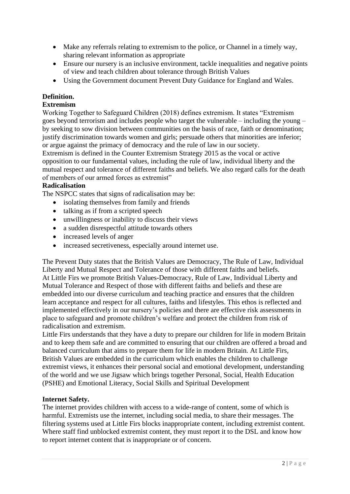- Make any referrals relating to extremism to the police, or Channel in a timely way, sharing relevant information as appropriate
- Ensure our nursery is an inclusive environment, tackle inequalities and negative points of view and teach children about tolerance through British Values
- Using the Government document Prevent Duty Guidance for England and Wales.

# **Definition.**

### **Extremism**

Working Together to Safeguard Children (2018) defines extremism. It states "Extremism goes beyond terrorism and includes people who target the vulnerable – including the young – by seeking to sow division between communities on the basis of race, faith or denomination; justify discrimination towards women and girls; persuade others that minorities are inferior; or argue against the primacy of democracy and the rule of law in our society.

Extremism is defined in the Counter Extremism Strategy 2015 as the vocal or active opposition to our fundamental values, including the rule of law, individual liberty and the mutual respect and tolerance of different faiths and beliefs. We also regard calls for the death of members of our armed forces as extremist"

## **Radicalisation**

The NSPCC states that signs of radicalisation may be:

- isolating themselves from family and friends
- talking as if from a scripted speech
- unwillingness or inability to discuss their views
- a sudden disrespectful attitude towards others
- increased levels of anger
- increased secretiveness, especially around internet use.

The Prevent Duty states that the British Values are Democracy, The Rule of Law, Individual Liberty and Mutual Respect and Tolerance of those with different faiths and beliefs. At Little Firs we promote British Values-Democracy, Rule of Law, Individual Liberty and Mutual Tolerance and Respect of those with different faiths and beliefs and these are embedded into our diverse curriculum and teaching practice and ensures that the children learn acceptance and respect for all cultures, faiths and lifestyles. This ethos is reflected and implemented effectively in our nursery's policies and there are effective risk assessments in place to safeguard and promote children's welfare and protect the children from risk of radicalisation and extremism.

Little Firs understands that they have a duty to prepare our children for life in modern Britain and to keep them safe and are committed to ensuring that our children are offered a broad and balanced curriculum that aims to prepare them for life in modern Britain. At Little Firs, British Values are embedded in the curriculum which enables the children to challenge extremist views, it enhances their personal social and emotional development, understanding of the world and we use Jigsaw which brings together Personal, Social, Health Education (PSHE) and Emotional Literacy, Social Skills and Spiritual Development

#### **Internet Safety.**

The internet provides children with access to a wide-range of content, some of which is harmful. Extremists use the internet, including social media, to share their messages. The filtering systems used at Little Firs blocks inappropriate content, including extremist content. Where staff find unblocked extremist content, they must report it to the DSL and know how to report internet content that is inappropriate or of concern.